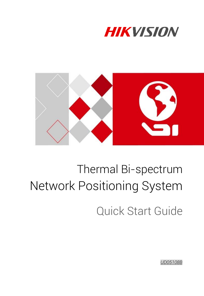



# Thermal Bi-spectrum Network Positioning System

Quick Start Guide

*UD05108B*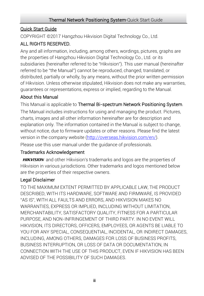#### Quick Start Guide

COPYRIGHT © 2017 Hangzhou Hikvision Digital Technology Co., Ltd.

### ALL RIGHTS RESERVED.

Any and all information, including, among others, wordings, pictures, graphs are the properties of Hangzhou Hikvision Digital Technology Co., Ltd. or its subsidiaries (hereinafter referred to be "Hikvision"). This user manual (hereinafter referred to be "the Manual") cannot be reproduced, changed, translated, or distributed, partially or wholly, by any means, without the prior written permission of Hikvision. Unless otherwise stipulated, Hikvision does not make any warranties, guarantees or representations, express or implied, regarding to the Manual.

#### About this Manual

This Manual is applicable to Thermal Bi-spectrum Network Positioning System. The Manual includes instructions for using and managing the product. Pictures, charts, images and all other information hereinafter are for description and

explanation only. The information contained in the Manual is subject to change, without notice, due to firmware updates or other reasons. Please find the latest version in the company website [\(http://overseas.hikvision.com/en/\)](http://overseas.hikvision.com/en/).

Please use this user manual under the guidance of professionals.

### Trademarks Acknowledgement

**HIKVISION** and other Hikvision's trademarks and logos are the properties of Hikvision in various jurisdictions. Other trademarks and logos mentioned below are the properties of their respective owners.

### Legal Disclaimer

TO THE MAXIMUM EXTENT PERMITTED BY APPLICABLE LAW, THE PRODUCT DESCRIBED, WITH ITS HARDWARE, SOFTWARE AND FIRMWARE, IS PROVIDED "AS IS", WITH ALL FAULTS AND ERRORS, AND HIKVISION MAKES NO WARRANTIES, EXPRESS OR IMPLIED, INCLUDING WITHOUT LIMITATION, MERCHANTABILITY, SATISFACTORY QUALITY, FITNESS FOR A PARTICULAR PURPOSE, AND NON-INFRINGEMENT OF THIRD PARTY. IN NO EVENT WILL HIKVISION, ITS DIRECTORS, OFFICERS, EMPLOYEES, OR AGENTS BE LIABLE TO YOU FOR ANY SPECIAL, CONSEQUENTIAL, INCIDENTAL, OR INDIRECT DAMAGES, INCLUDING, AMONG OTHERS, DAMAGES FOR LOSS OF BUSINESS PROFITS, BUSINESS INTERRUPTION, OR LOSS OF DATA OR DOCUMENTATION, IN CONNECTION WITH THE USE OF THIS PRODUCT, EVEN IF HIKVISION HAS BEEN ADVISED OF THE POSSIBILITY OF SUCH DAMAGES.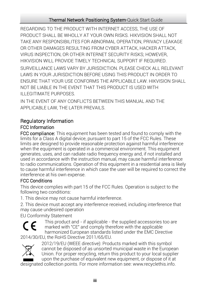REGARDING TO THE PRODUCT WITH INTERNET ACCESS, THE USE OF PRODUCT SHALL BE WHOLLY AT YOUR OWN RISKS. HIKVISION SHALL NOT TAKE ANY RESPONSIBILITES FOR ABNORMAL OPERATION, PRIVACY LEAKAGE OR OTHER DAMAGES RESULTING FROM CYBER ATTACK, HACKER ATTACK, VIRUS INSPECTION, OR OTHER INTERNET SECURITY RISKS; HOWEVER, HIKVISION WILL PROVIDE TIMELY TECHNICAL SUPPORT IF REQUIRED. SURVEILLANCE LAWS VARY BY JURISDICTION. PLEASE CHECK ALL RELEVANT LAWS IN YOUR JURISDICTION BEFORE USING THIS PRODUCT IN ORDER TO ENSURE THAT YOUR USE CONFORMS THE APPLICABLE LAW. HIKVISION SHALL NOT BE LIABLE IN THE EVENT THAT THIS PRODUCT IS USED WITH ILLEGITIMATE PURPOSES.

IN THE EVENT OF ANY CONFLICTS BETWEEN THIS MANUAL AND THE APPLICABLE LAW, THE LATER PREVAILS.

### Regulatory Information FCC Information

FCC compliance: This equipment has been tested and found to comply with the limits for a Class A digital device, pursuant to part 15 of the FCC Rules. These limits are designed to provide reasonable protection against harmful interference when the equipment is operated in a commercial environment. This equipment generates, uses, and can radiate radio frequency energy and, if not installed and used in accordance with the instruction manual, may cause harmful interference to radio communications. Operation of this equipment in a residential area is likely to cause harmful interference in which case the user will be required to correct the interference at his own expense.

#### FCC Conditions

This device complies with part 15 of the FCC Rules. Operation is subject to the following two conditions:

1. This device may not cause harmful interference.

2. This device must accept any interference received, including interference that may cause undesired operation

EU Conformity Statement



This product and - if applicable - the supplied accessories too are marked with "CE" and comply therefore with the applicable harmonized European standards listed under the EMC Directive

2014/30/EU, the RoHS Directive 2011/65/EU.



2012/19/EU (WEEE directive): Products marked with this symbol cannot be disposed of as unsorted municipal waste in the European Union. For proper recycling, return this product to your local supplier upon the purchase of equivalent new equipment, or dispose of it at

designated collection points. For more information see: www.recyclethis.info.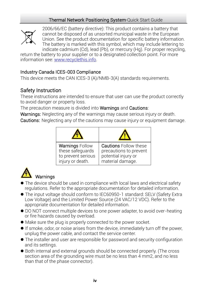

2006/66/EC (battery directive): This product contains a battery that cannot be disposed of as unsorted municipal waste in the European Union. See the product documentation for specific battery information. The battery is marked with this symbol, which may include lettering to indicate cadmium (Cd), lead (Pb), or mercury (Hg). For proper recycling,

return the battery to your supplier or to a designated collection point. For more information see[: www.recyclethis.info.](http://www.recyclethis.info/)

### Industry Canada ICES-003 Compliance

This device meets the CAN ICES-3 (A)/NMB-3(A) standards requirements.

### Safety Instruction

These instructions are intended to ensure that user can use the product correctly to avoid danger or property loss.

The precaution measure is divided into **Warnings** and **Cautions**:

Warnings: Neglecting any of the warnings may cause serious injury or death. Cautions: Neglecting any of the cautions may cause injury or equipment damage.

| <b>Warnings Follow</b> | <b>Cautions Follow these</b> |
|------------------------|------------------------------|
| these safequards       | precautions to prevent       |
| to prevent serious     | potential injury or          |
| injury or death.       | material damage.             |



- The device should be used in compliance with local laws and electrical safety regulations. Refer to the appropriate documentation for detailed information.
- The input voltage should conform to IEC60950-1 standard: SELV (Safety Extra Low Voltage) and the Limited Power Source (24 VAC/12 VDC). Refer to the appropriate documentation for detailed information.
- DO NOT connect multiple devices to one power adapter, to avoid over-heating or fire hazards caused by overload.
- Make sure the plug is properly connected to the power socket.
- If smoke, odor, or noise arises from the device, immediately turn off the power, unplug the power cable, and contact the service center.
- The installer and user are responsible for password and security configuration and its settings.
- Both internal and external grounds should be connected properly. (The cross section area of the grounding wire must be no less than 4 mm2, and no less than that of the phase connector).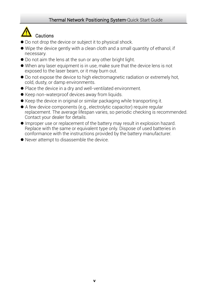## Cautions

- Do not drop the device or subject it to physical shock.
- Wipe the device gently with a clean cloth and a small quantity of ethanol, if necessary.
- Do not aim the lens at the sun or any other bright light.
- When any laser equipment is in use, make sure that the device lens is not exposed to the laser beam, or it may burn out.
- Do not expose the device to high electromagnetic radiation or extremely hot, cold, dusty, or damp environments.
- Place the device in a dry and well-ventilated environment.
- Keep non-waterproof devices away from liquids.
- Keep the device in original or similar packaging while transporting it.
- A few device components (e.g., electrolytic capacitor) require regular replacement. The average lifespan varies, so periodic checking is recommended. Contact your dealer for details.
- Improper use or replacement of the battery may result in explosion hazard. Replace with the same or equivalent type only. Dispose of used batteries in conformance with the instructions provided by the battery manufacturer.
- Never attempt to disassemble the device.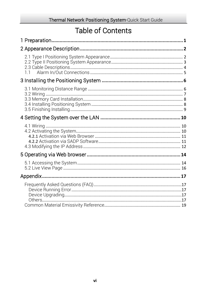### **Table of Contents**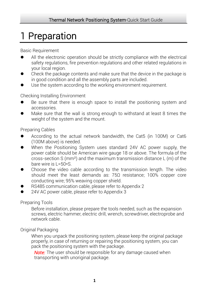## <span id="page-6-0"></span>1 Preparation

Basic Requirement

- All the electronic operation should be strictly compliance with the electrical safety regulations, fire prevention regulations and other related regulations in your local region.
- Check the package contents and make sure that the device in the package is in good condition and all the assembly parts are included.
- Use the system according to the working environment requirement.

Checking Installing Environment

- Be sure that there is enough space to install the positioning system and accessories.
- Make sure that the wall is strong enough to withstand at least 8 times the weight of the system and the mount.

Preparing Cables

- According to the actual network bandwidth, the Cat5 (in 100M) or Cat6 (100M above) is needed.
- When the Positioning System uses standard 24V AC power supply, the power cable should be American wire gauge 18 or above. The formula of the cross-section S ( $mm<sup>2</sup>$ ) and the maximum transmission distance L (m) of the bare wire is L=50\*S.
- Choose the video cable according to the transmission length. The video should meet the least demands as: 75Ω resistance; 100% copper core conducting wire; 95% weaving copper shield.
- RS485 communication cable, please refer to Appendix 2
- 24V AC power cable, please refer to Appendix 3

#### Preparing Tools

Before installation, please prepare the tools needed, such as the expansion screws, electric hammer, electric drill, wrench, screwdriver, electroprobe and network cable.

Original Packaging

When you unpack the positioning system, please keep the original package properly, in case of returning or repairing the positioning system, you can pack the positioning system with the package.

*Note:* The user should be responsible for any damage caused when transporting with unoriginal package.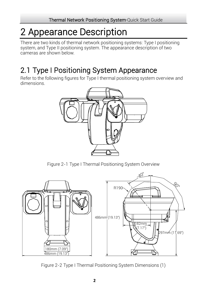## <span id="page-7-0"></span>2 Appearance Description

There are two kinds of thermal network positioning systems: Type I positioning system, and Type II positioning system. The appearance description of two cameras are shown below.

### <span id="page-7-1"></span>2.1 Type I Positioning System Appearance

Refer to the following figures for Type I thermal positioning system overview and dimensions.



Figure 2-1 Type I Thermal Positioning System Overview



Figure 2-2 Type I Thermal Positioning System Dimensions (1)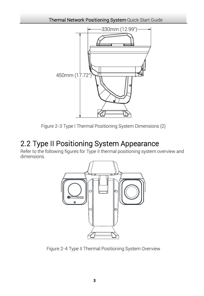

Figure 2-3 Type I Thermal Positioning System Dimensions (2)

### <span id="page-8-0"></span>2.2 Type II Positioning System Appearance

Refer to the following figures for Type II thermal positioning system overview and dimensions.



Figure 2-4 Type II Thermal Positioning System Overview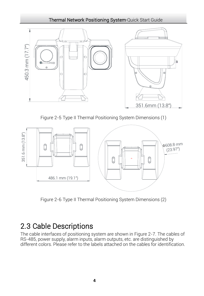

Figure 2-5 Type II Thermal Positioning System Dimensions (1)



Figure 2-6 Type II Thermal Positioning System Dimensions (2)

### <span id="page-9-0"></span>2.3 Cable Descriptions

The cable interfaces of positioning system are shown in [Figure 2-7.](#page-10-1) The cables of RS-485, power supply, alarm inputs, alarm outputs, etc. are distinguished by different colors. Please refer to the labels attached on the cables for identification.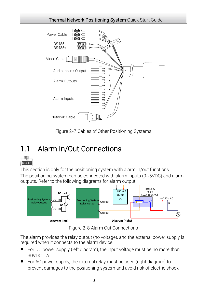

Figure 2-7 Cables of Other Positioning Systems

### <span id="page-10-1"></span><span id="page-10-0"></span>1.1 Alarm In/Out Connections



This section is only for the positioning system with alarm in/out functions.

The positioning system can be connected with alarm inputs (0~5VDC) and alarm outputs. Refer to the following diagrams for alarm output:



Figure 2-8 Alarm Out Connections

The alarm provides the relay output (no voltage), and the external power supply is required when it connects to the alarm device.

- For DC power supply (left diagram), the input voltage must be no more than 30VDC, 1A.
- For AC power supply, the external relay must be used (right diagram) to prevent damages to the positioning system and avoid risk of electric shock.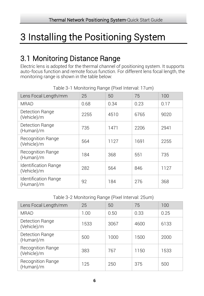## <span id="page-11-0"></span>3 Installing the Positioning System

### <span id="page-11-1"></span>3.1 Monitoring Distance Range

Electric lens is adopted for the thermal channel of positioning system. It supports auto-focus function and remote focus function. For different lens focal length, the monitoring range is shown in the table below:

| Lens Focal Length/mm                     | 25   | 50   | 75   | 100  |
|------------------------------------------|------|------|------|------|
| MRAD                                     | 0.68 | 0.34 | 0.23 | 0.17 |
| Detection Range<br>(Vehicle)/m           | 2255 | 4510 | 6765 | 9020 |
| Detection Range<br>(Human)/m             | 735  | 1471 | 2206 | 2941 |
| <b>Recognition Range</b><br>(Vehicle)/m  | 564  | 1127 | 1691 | 2255 |
| <b>Recognition Range</b><br>(Human)/m    | 184  | 368  | 551  | 735  |
| Identification Range<br>(Vehicle)/m      | 282  | 564  | 846  | 1127 |
| <b>Identification Range</b><br>(Human)/m | 92   | 184  | 276  | 368  |

Table 3-1 Monitoring Range (Pixel Interval: 17um)

Table 3-2 Monitoring Range (Pixel Interval: 25um)

| Lens Focal Length/mm             | 25   | 50   | 75   | 100  |
|----------------------------------|------|------|------|------|
| <b>MRAD</b>                      | 1.00 | 0.50 | 0.33 | 0.25 |
| Detection Range<br>(Vehicle)/m   | 1533 | 3067 | 4600 | 6133 |
| Detection Range<br>(Human)/m     | 500  | 1000 | 1500 | 2000 |
| Recognition Range<br>(Vehicle)/m | 383  | 767  | 1150 | 1533 |
| Recognition Range<br>(Human)/m   | 125  | 250  | 375  | 500  |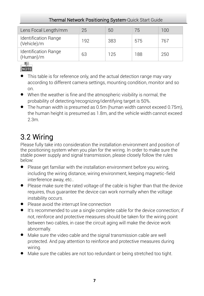| Lens Focal Length/mm                | 25  | 50  | 75  | 100 |
|-------------------------------------|-----|-----|-----|-----|
| Identification Range<br>(Vehicle)/m | 192 | 383 | 575 | 767 |
| Identification Range<br>(Human)/m   | 63  | 125 | 188 | 250 |



- This table is for reference only, and the actual detection range may vary according to different camera settings, mounting condition, monitor and so on.
- When the weather is fine and the atmospheric visibility is normal, the probability of detecting/recognizing/identifying target is 50%.
- The human width is presumed as 0.5m (human width cannot exceed 0.75m), the human height is presumed as 1.8m, and the vehicle width cannot exceed 2.3m.

### <span id="page-12-0"></span>3.2 Wiring

Please fully take into consideration the installation environment and position of the positioning system when you plan for the wiring. In order to make sure the stable power supply and signal transmission, please closely follow the rules below:

- Please get familiar with the installation environment before you wiring, including the wiring distance, wiring environment, keeping magnetic-field interference away, etc..
- Please make sure the rated voltage of the cable is higher than that the device requires, thus guarantee the device can work normally when the voltage instability occurs.
- Please avoid the interrupt line connection
- It's recommended to use a single complete cable for the device connection; if not, reinforce and protective measures should be taken for the wiring point between two cables, in case the circuit aging will make the device work abnormally.
- Make sure the video cable and the signal transmission cable are well protected. And pay attention to reinforce and protective measures during wiring.
- Make sure the cables are not too redundant or being stretched too tight.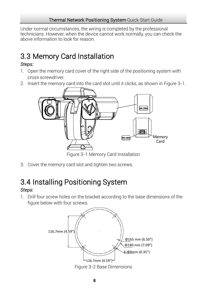Under normal circumstances, the wiring is completed by the professional technicians. However, when the device cannot work normally, you can check the above information to look for reason.

### <span id="page-13-0"></span>3.3 Memory Card Installation

#### *Steps:*

- 1. Open the memory card cover of the right side of the positioning system with cross screwdriver.
- 2. Insert the memory card into the card slot until it clicks, as shown in [Figure 3-1.](#page-13-2)



Figure 3-1 Memory Card Installation

<span id="page-13-2"></span><span id="page-13-1"></span>3. Cover the memory card slot and tighten two screws.

### 3.4 Installing Positioning System

### *Steps:*

1. Drill four screw holes on the bracket according to the base dimensions of the figure below with four screws.



Figure 3-2 Base Dimensions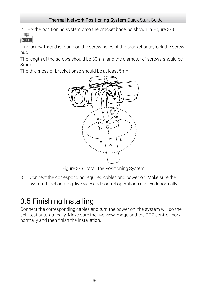2. Fix the positioning system onto the bracket base, as shown in [Figure 3-3.](#page-14-1) 卑

**NOTE** 

If no screw thread is found on the screw holes of the bracket base, lock the screw nut.

The length of the screws should be 30mm and the diameter of screws should be 8mm.

The thickness of bracket base should be at least 5mm.



Figure 3-3 Install the Positioning System

<span id="page-14-1"></span>3. Connect the corresponding required cables and power on. Make sure the system functions, e.g. live view and control operations can work normally.

### <span id="page-14-0"></span>3.5 Finishing Installing

Connect the corresponding cables and turn the power on; the system will do the self-test automatically. Make sure the live view image and the PTZ control work normally and then finish the installation.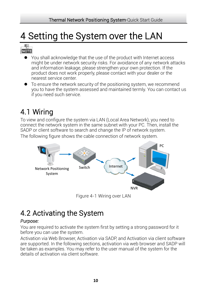## <span id="page-15-0"></span>4 Setting the System over the LAN



- You shall acknowledge that the use of the product with Internet access might be under network security risks. For avoidance of any network attacks and information leakage, please strengthen your own protection. If the product does not work properly, please contact with your dealer or the nearest service center.
- To ensure the network security of the positioning system, we recommend you to have the system assessed and maintained termly. You can contact us if you need such service.

### <span id="page-15-1"></span>4.1 Wiring

To view and configure the system via LAN (Local Area Network), you need to connect the network system in the same subnet with your PC. Then, install the SADP or client software to search and change the IP of network system. The following figure shows the cable connection of network system.



Figure 4-1 Wiring over LAN

### <span id="page-15-2"></span>4.2 Activating the System

### *Purpose:*

You are required to activate the system first by setting a strong password for it before you can use the system.

Activation via Web Browser, Activation via SADP, and Activation via client software are supported. In the following sections, activation via web browser and SADP will be taken as examples. You may refer to the user manual of the system for the details of activation via client software.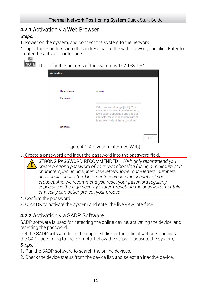### <span id="page-16-0"></span>**4.2.1** Activation via Web Browser

### *Steps:*

- 1. Power on the system, and connect the system to the network.
- 2. Input the IP address into the address bar of the web browser, and click Enter to enter the activation interface.



NOTE The default IP address of the system is 192.168.1.64.

| <b>Activation</b> |                                                                                                                                                                                        |    |
|-------------------|----------------------------------------------------------------------------------------------------------------------------------------------------------------------------------------|----|
|                   |                                                                                                                                                                                        |    |
| <b>User Name</b>  | admin                                                                                                                                                                                  |    |
| Password          |                                                                                                                                                                                        |    |
|                   | Valid password range [8-16]. You<br>can use a combination of numbers,<br>lowercase, uppercase and special<br>character for your password with at<br>least two kinds of them contained. |    |
| Confirm           |                                                                                                                                                                                        |    |
|                   |                                                                                                                                                                                        | OK |

Figure 4-2 Activation Interface(Web)

- 3. Create a password and input the password into the password field.
	- STRONG PASSWORD RECOMMENDED*– We highly recommend you create a strong password of your own choosing (using a minimum of 8 characters, including upper case letters, lower case letters, numbers, and special characters) in order to increase the security of your product. And we recommend you reset your password regularly, especially in the high security system, resetting the password monthly or weekly can better protect your product.*
- 4. Confirm the password.
- 5. Click OK to activate the system and enter the live view interface.

### <span id="page-16-1"></span>**4.2.2** Activation via SADP Software

SADP software is used for detecting the online device, activating the device, and resetting the password.

Get the SADP software from the supplied disk or the official website, and install the SADP according to the prompts. Follow the steps to activate the system*.* 

### *Steps:*

- 1. Run the SADP software to search the online devices.
- 2. Check the device status from the device list, and select an inactive device.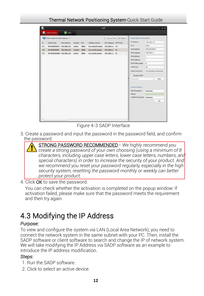| <b>O</b> <sub>n</sub> Online Devices<br><sup>1</sup> Help                                                                                                                                                                                                                                                                                                                                                                                                                                                                                                                                                                                                                                                                                                                               |      |
|-----------------------------------------------------------------------------------------------------------------------------------------------------------------------------------------------------------------------------------------------------------------------------------------------------------------------------------------------------------------------------------------------------------------------------------------------------------------------------------------------------------------------------------------------------------------------------------------------------------------------------------------------------------------------------------------------------------------------------------------------------------------------------------------|------|
|                                                                                                                                                                                                                                                                                                                                                                                                                                                                                                                                                                                                                                                                                                                                                                                         |      |
| Total number of online devices: 3<br>(iii) Save as Excel @ Refresh<br>Modify Network Parameters                                                                                                                                                                                                                                                                                                                                                                                                                                                                                                                                                                                                                                                                                         |      |
| IP Address:<br>192.168.1.64<br>IPv4 Gateway HTTP Port<br>Device Type<br>IPv4 Address<br>Port<br>Software Version<br>ID.<br><b>Security</b><br>Port<br>8000<br>Vx.x.xxbuild xxxxxx<br>XX-XXXXXXXX-X 192.168.1.64<br>8000<br>192.168.1.1<br><b>N/A</b><br>001<br>Active<br>255 255 255.0<br>Subnet Mask:<br>XX-XXXXXXXXX 192.168.1.64<br>8000<br>vx.x.xbuild xxxxxx<br>192.168.1.1 80<br>002<br>Inactive<br>192.168.1.1<br>IPv4 Gateway:<br>xxxxxxxxxxxxxxxxxxxxx<br>192.168.1.1<br>003<br>XX-XXXXXXXXXX 192.168.1.64<br>Active<br>8000<br>80<br>IPv6 Address:<br>E<br>IPv6 Gateway:<br>E<br>$\mathbf{0}$<br>IPv6 Prefix Length:<br><b>HTTP Port</b><br>80<br>Device Serial No.:<br>XX-3000000000-XXXXXXXX<br>Enable DHCP<br>Password<br>Device Activation<br>New Password:<br><br>Strong | Save |
| Confirm Password:                                                                                                                                                                                                                                                                                                                                                                                                                                                                                                                                                                                                                                                                                                                                                                       | OK   |

Figure 4-3 SADP Interface

3. Create a password and input the password in the password field, and confirm the password.



#### 4. Click OK to save the password.

You can check whether the activation is completed on the popup window. If activation failed, please make sure that the password meets the requirement and then try again.

### <span id="page-17-0"></span>4.3 Modifying the IP Address

#### *Purpose:*

To view and configure the system via LAN (Local Area Network), you need to connect the network system in the same subnet with your PC. Then, install the SADP software or client software to search and change the IP of network system. We will take modifying the IP Address via SADP software as an example to introduce the IP address modification.

#### *Steps:*

- 1. Run the SADP software.
- 2. Click to select an active device.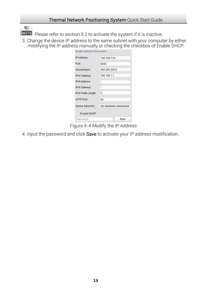

NOTE Please refer to section 3.2 to activate the system if it is inactive.

3. Change the device IP address to the same subnet with your computer by either modifying the IP address manually or checking the checkbox of Enable DHCP.

| <b>Modify Network Parameters</b> |                     |  |  |
|----------------------------------|---------------------|--|--|
| IP Address:                      | 192.168.1.64        |  |  |
| Port <sup>-</sup>                | 8000                |  |  |
| Subnet Mask:                     | 255 255 255 0       |  |  |
| IPv4 Gateway:                    | 192.168.1.1         |  |  |
| <b>IPv6 Address:</b>             | ٠.<br>н.            |  |  |
| IPv6 Gateway:                    | ٠.<br>н.            |  |  |
| IPv6 Prefix Length:              | $\Omega$            |  |  |
| <b>HTTP Port</b>                 | 80                  |  |  |
| Device Serial No.:               | XX-XXXXXXX-XXXXXXXX |  |  |
| <b>Enable DHCP</b>               |                     |  |  |
| Password                         | Save                |  |  |

Figure 4-4 Modify the IP Address

4. Input the password and click Save to activate your IP address modification.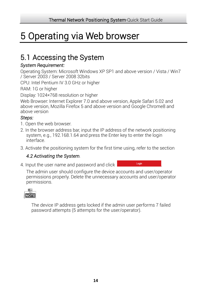## <span id="page-19-0"></span>5 Operating via Web browser

### <span id="page-19-1"></span>5.1 Accessing the System

### *System Requirement:*

Operating System: Microsoft Windows XP SP1 and above version / Vista / Win7 / Server 2003 / Server 2008 32bits

CPU: Intel Pentium IV 3.0 GHz or higher

RAM: 1G or higher

Display: 1024× 768 resolution or higher

Web Browser: Internet Explorer 7.0 and above version, Apple Safari 5.02 and above version, Mozilla Firefox 5 and above version and Google Chrome8 and above version

#### *Steps:*

- 1. Open the web browser.
- 2. In the browser address bar, input the IP address of the network positioning system, e.g., 192.168.1.64 and press the Enter key to enter the login interface.
- 3. Activate the positioning system for the first time using, refer to the section

### *[4.2 Activating the S](#page-15-2)ystem*.

4. Input the user name and password and click

The admin user should configure the device accounts and user/operator permissions properly. Delete the unnecessary accounts and user/operator permissions.



The device IP address gets locked if the admin user performs 7 failed password attempts (5 attempts for the user/operator).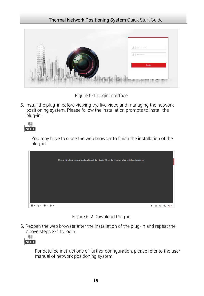

Figure 5-1 Login Interface

5. Install the plug-in before viewing the live video and managing the network positioning system. Please follow the installation prompts to install the plug-in.



You may have to close the web browser to finish the installation of the plug-in.

| Please click here to download and install the plug-in. Close the browser when installing the plug-in. |         |  |  |
|-------------------------------------------------------------------------------------------------------|---------|--|--|
|                                                                                                       |         |  |  |
|                                                                                                       |         |  |  |
|                                                                                                       |         |  |  |
|                                                                                                       |         |  |  |
|                                                                                                       | $\circ$ |  |  |

Figure 5-2 Download Plug-in

6. Reopen the web browser after the installation of the plug-in and repeat the above steps 2-4 to login.



For detailed instructions of further configuration, please refer to the user manual of network positioning system.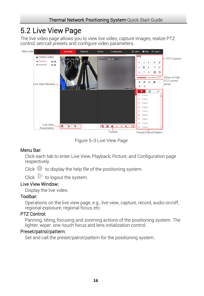### <span id="page-21-0"></span>5.2 Live View Page

The live video page allows you to view live video, capture images, realize PTZ control, set/call presets and configure video parameters.



Figure 5-3 Live View Page

### Menu Bar:

Click each tab to enter Live View, Playback, Picture, and Configuration page respectively.

Click  $\bullet$  to display the help file of the positioning system.

Click  $\Box$  to logout the system.

#### Live View Window:

Display the live video.

#### Toolbar:

Operations on the live view page, e.g., live view, capture, record, audio on/off, regional exposure, regional focus, etc.

### PTZ Control:

Panning, tilting, focusing and zooming actions of the positioning system. The lighter, wiper, one-touch focus and lens initialization control.

#### Preset/patrol/pattern:

Set and call the preset/patrol/pattern for the positioning system.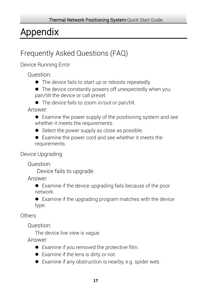## <span id="page-22-0"></span>Appendix

### <span id="page-22-1"></span>Frequently Asked Questions (FAQ)

<span id="page-22-2"></span>Device Running Error

Question:

- The device fails to start up or reboots repeatedly.
- The device constantly powers off unexpectedly when you pan/tilt the device or call preset.
- The device fails to zoom in/out or pan/tilt.

Answer:

- Examine the power supply of the positioning system and see whether it meets the requirements.
- Select the power supply as close as possible.
- Examine the power cord and see whether it meets the requirements.

<span id="page-22-3"></span>Device Upgrading

Question:

Device fails to upgrade.

Answer:

 Examine if the device upgrading fails because of the poor network.

 Examine if the upgrading program matches with the device type.

<span id="page-22-4"></span>Others

Question:

The device live view is vague.

Answer:

- Examine if you removed the protective film.
- Examine if the lens is dirty or not.
- Examine if any obstruction is nearby, e.g. spider web.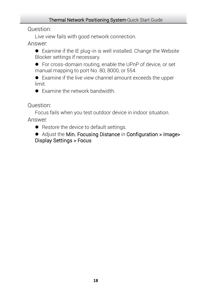Question:

Live view fails with good network connection.

Answer:

 Examine if the IE plug-in is well installed. Change the Website Blocker settings if necessary.

 For cross-domain routing, enable the UPnP of device, or set manual mapping to port No. 80, 8000, or 554.

 Examine if the live view channel amount exceeds the upper limit.

● Examine the network bandwidth

Question:

Focus fails when you test outdoor device in indoor situation. Answer:

**•** Restore the device to default settings.

 Adjust the Min. Focusing Distance in Configuration > Image> Display Settings > Focus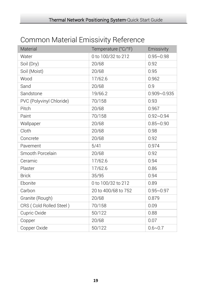<span id="page-24-0"></span>

| Material                 | Temperature (°C/°F) | Emissivity      |
|--------------------------|---------------------|-----------------|
| Water                    | 0 to 100/32 to 212  | $0.95 - 0.98$   |
| Soil (Dry)               | 20/68               | 0.92            |
| Soil (Moist)             | 20/68               | 0.95            |
| Wood                     | 17/62.6             | 0.962           |
| Sand                     | 20/68               | 0.9             |
| Sandstone                | 19/66.2             | $0.909 - 0.935$ |
| PVC (Polyvinyl Chloride) | 70/158              | 0.93            |
| Pitch                    | 20/68               | 0.967           |
| Paint                    | 70/158              | $0.92 - 0.94$   |
| Wallpaper                | 20/68               | $0.85 - 0.90$   |
| Cloth                    | 20/68               | 0.98            |
| Concrete                 | 20/68               | 0.92            |
| Pavement                 | 5/41                | 0.974           |
| Smooth Porcelain         | 20/68               | 0.92            |
| Ceramic                  | 17/62.6             | 0.94            |
| Plaster                  | 17/62.6             | 0.86            |
| <b>Brick</b>             | 35/95               | 0.94            |
| Ebonite                  | 0 to 100/32 to 212  | 0.89            |
| Carbon                   | 20 to 400/68 to 752 | $0.95 - 0.97$   |
| Granite (Rough)          | 20/68               | 0.879           |
| CRS (Cold Rolled Steel)  | 70/158              | 0.09            |
| Cupric Oxide             | 50/122              | 0.88            |
| Copper                   | 20/68               | 0.07            |
| Copper Oxide             | 50/122              | $0.6 - 0.7$     |